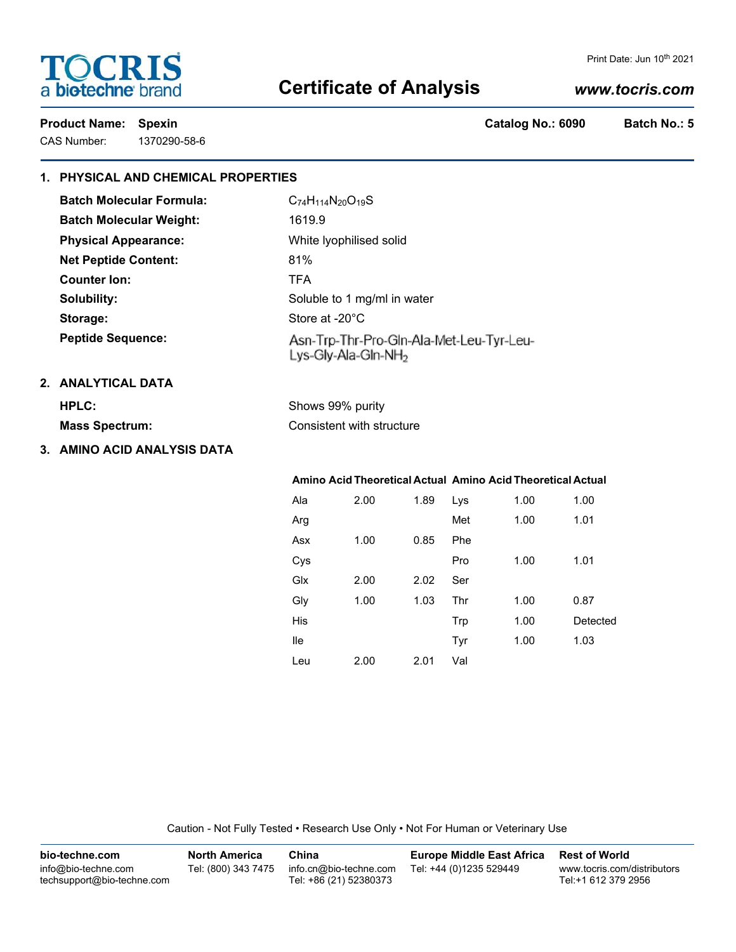# **TOCRIS** a biotechne brand

#### Print Date: Jun 10<sup>th</sup> 2021

## **Certificate of Analysis**

## *www.tocris.com*

Product Name: Spexin **Catalog No.: 6090** Batch No.: 5

CAS Number: 1370290-58-6

## **1. PHYSICAL AND CHEMICAL PROPERTIES**

| <b>Batch Molecular Formula:</b> | $C_{74}H_{114}N_{20}O_{19}S$                                                |
|---------------------------------|-----------------------------------------------------------------------------|
| <b>Batch Molecular Weight:</b>  | 1619.9                                                                      |
| <b>Physical Appearance:</b>     | White Iyophilised solid                                                     |
| <b>Net Peptide Content:</b>     | 81%                                                                         |
| Counter Ion:                    | <b>TFA</b>                                                                  |
| Solubility:                     | Soluble to 1 mg/ml in water                                                 |
| Storage:                        | Store at -20°C                                                              |
| <b>Peptide Sequence:</b>        | Asn-Trp-Thr-Pro-Gln-Ala-Met-Leu-Tyr-Leu-<br>Lys-Gly-Ala-Gln-NH <sub>2</sub> |
| 2. ANALYTICAL DATA              |                                                                             |
| HPLC:                           | Shows 99% purity                                                            |
| <b>Mass Spectrum:</b>           | Consistent with structure                                                   |
|                                 |                                                                             |

**3. AMINO ACID ANALYSIS DATA**

|     |      |      | Amino Acid Theoretical Actual Amino Acid Theoretical Actual |      |          |
|-----|------|------|-------------------------------------------------------------|------|----------|
| Ala | 2.00 | 1.89 | Lys                                                         | 1.00 | 1.00     |
| Arg |      |      | Met                                                         | 1.00 | 1.01     |
| Asx | 1.00 | 0.85 | Phe                                                         |      |          |
| Cys |      |      | Pro                                                         | 1.00 | 1.01     |
| Glx | 2.00 | 2.02 | Ser                                                         |      |          |
| Gly | 1.00 | 1.03 | Thr                                                         | 1.00 | 0.87     |
| His |      |      | Trp                                                         | 1.00 | Detected |
| lle |      |      | Tyr                                                         | 1.00 | 1.03     |
| Leu | 2.00 | 2.01 | Val                                                         |      |          |

Caution - Not Fully Tested • Research Use Only • Not For Human or Veterinary Use

| bio-techne.com                                    | <b>North America</b> | China                                            | <b>Europe Middle East Africa</b> | <b>Rest of World</b>                               |
|---------------------------------------------------|----------------------|--------------------------------------------------|----------------------------------|----------------------------------------------------|
| info@bio-techne.com<br>techsupport@bio-techne.com | Tel: (800) 343 7475  | info.cn@bio-techne.com<br>Tel: +86 (21) 52380373 | Tel: +44 (0)1235 529449          | www.tocris.com/distributors<br>Tel:+1 612 379 2956 |